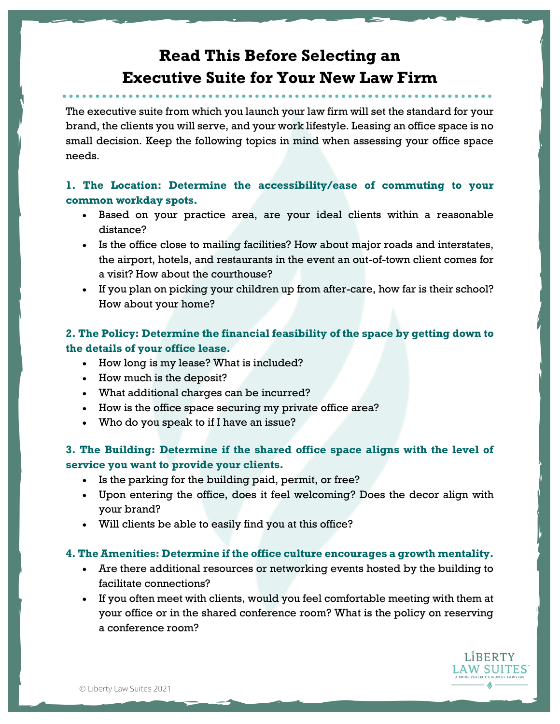# **Read This Before Selecting an Executive Suite for Your New Law Firm**

The executive suite from which you launch your law firm will set the standard for your brand, the clients you will serve, and your work lifestyle. Leasing an office space is no small decision. Keep the following topics in mind when assessing your office space needs.

### **1. The Location: Determine the accessibility/ease of commuting to your common workday spots.**

- Based on your practice area, are your ideal clients within a reasonable distance?
- Is the office close to mailing facilities? How about major roads and interstates, the airport, hotels, and restaurants in the event an out-of-town client comes for a visit? How about the courthouse?
- If you plan on picking your children up from after-care, how far is their school? How about your home?

## **2. The Policy: Determine the financial feasibility of the space by getting down to the details of your office lease.**

- How long is my lease? What is included?
- How much is the deposit?
- What additional charges can be incurred?
- How is the office space securing my private office area?
- Who do you speak to if I have an issue?

### **3. The Building: Determine if the shared office space aligns with the level of service you want to provide your clients.**

- Is the parking for the building paid, permit, or free?
- Upon entering the office, does it feel welcoming? Does the decor align with your brand?
- Will clients be able to easily find you at this office?

#### **4. The Amenities: Determine if the office culture encourages a growth mentality.**

- Are there additional resources or networking events hosted by the building to facilitate connections?
- If you often meet with clients, would you feel comfortable meeting with them at your office or in the shared conference room? What is the policy on reserving a conference room?

LIBERTY LAW SUITES